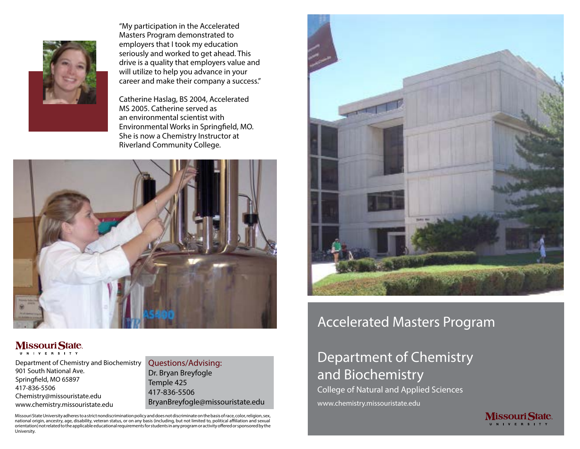

"My participation in the Accelerated Masters Program demonstrated to employers that I took my education seriously and worked to get ahead. This drive is a quality that employers value and will utilize to help you advance in your career and make their company a success."

Catherine Haslag, BS 2004, Accelerated MS 2005. Catherine served as an environmental scientist with Environmental Works in Springfield, MO. She is now a Chemistry Instructor at Riverland Community College.



#### **MissouriState** U N I V E R S I T Y

Department of Chemistry and Biochemistry 901 South National Ave. Springfield, MO 65897 417-836-5506 Chemistry@missouristate.edu www.chemistry.missouristate.edu

Questions/Advising: Dr. Bryan Breyfogle Temple 425 417-836-5506 BryanBreyfogle@missouristate.edu

Missouri State University adheres to a strict nondiscrimination policy and does not discriminate on the basis of race, color, religion, sex, national origin, ancestry, age, disability, veteran status, or on any basis (including, but not limited to, political affiliation and sexual orientation) not related to the applicable educational requirements for students in any program or activity offered or sponsored by the University.



## Accelerated Masters Program

# Department of Chemistry and Biochemistry

College of Natural and Applied Sciences www.chemistry.missouristate.edu

> **Missouri State** N I V E R S I T Y